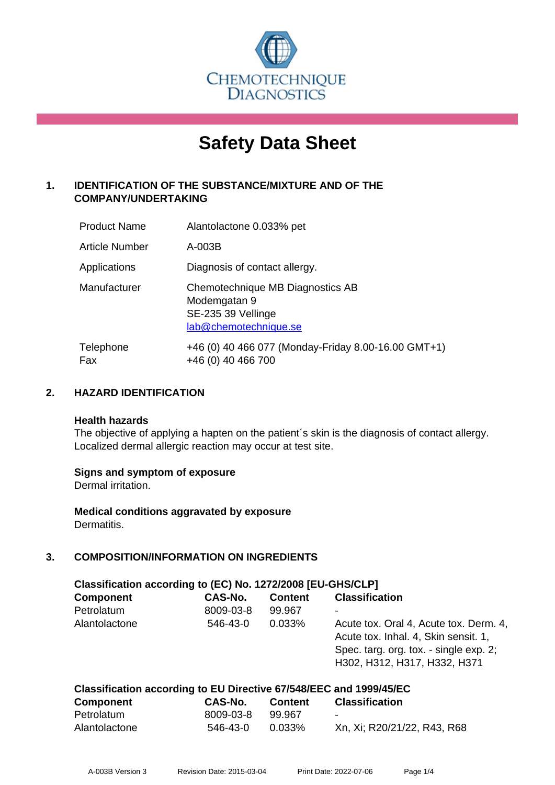

# **Safety Data Sheet**

# **1. IDENTIFICATION OF THE SUBSTANCE/MIXTURE AND OF THE COMPANY/UNDERTAKING**

| <b>Product Name</b>   | Alantolactone 0.033% pet                                                                        |
|-----------------------|-------------------------------------------------------------------------------------------------|
| <b>Article Number</b> | A-003B                                                                                          |
| Applications          | Diagnosis of contact allergy.                                                                   |
| Manufacturer          | Chemotechnique MB Diagnostics AB<br>Modemgatan 9<br>SE-235 39 Vellinge<br>lab@chemotechnique.se |
| Telephone<br>Fax      | +46 (0) 40 466 077 (Monday-Friday 8.00-16.00 GMT+1)<br>+46 (0) 40 466 700                       |

#### **2. HAZARD IDENTIFICATION**

#### **Health hazards**

The objective of applying a hapten on the patient's skin is the diagnosis of contact allergy. Localized dermal allergic reaction may occur at test site.

#### **Signs and symptom of exposure**

Dermal irritation.

**Medical conditions aggravated by exposure** Dermatitis.

# **3. COMPOSITION/INFORMATION ON INGREDIENTS**

| Classification according to (EC) No. 1272/2008 [EU-GHS/CLP]         |           |                |                                                                                                                                                          |  |  |
|---------------------------------------------------------------------|-----------|----------------|----------------------------------------------------------------------------------------------------------------------------------------------------------|--|--|
| <b>Component</b>                                                    | CAS-No.   | <b>Content</b> | <b>Classification</b>                                                                                                                                    |  |  |
| Petrolatum                                                          | 8009-03-8 | 99.967         |                                                                                                                                                          |  |  |
| Alantolactone                                                       | 546-43-0  | 0.033%         | Acute tox. Oral 4, Acute tox. Derm. 4,<br>Acute tox. Inhal. 4, Skin sensit. 1,<br>Spec. targ. org. tox. - single exp. 2;<br>H302, H312, H317, H332, H371 |  |  |
| Clossification seconding to ELL Directive C7/E40/EEC and 1000/4E/EC |           |                |                                                                                                                                                          |  |  |

| Classification according to EU Directive 677546/EEC and 1999/45/EC |           |         |                             |  |  |
|--------------------------------------------------------------------|-----------|---------|-----------------------------|--|--|
| Component                                                          | CAS-No.   | Content | <b>Classification</b>       |  |  |
| Petrolatum                                                         | 8009-03-8 | 99.967  | $\overline{\phantom{a}}$    |  |  |
| Alantolactone                                                      | 546-43-0  | 0.033%  | Xn, Xi; R20/21/22, R43, R68 |  |  |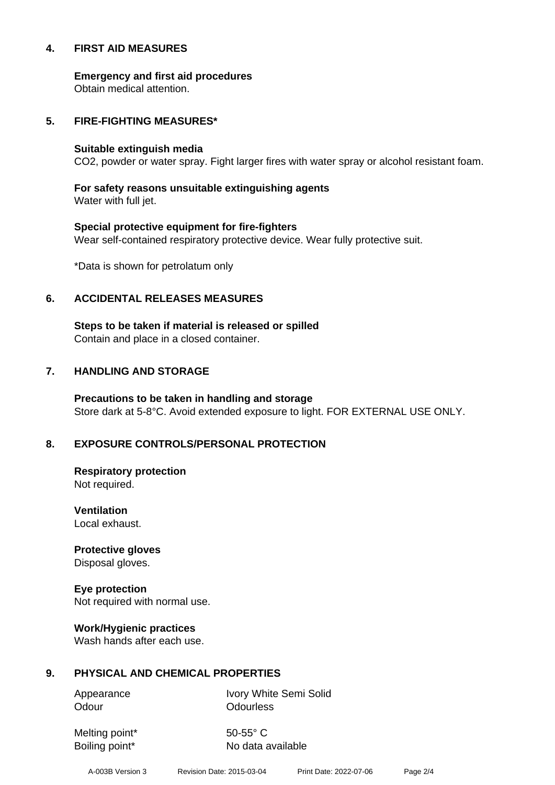#### **4. FIRST AID MEASURES**

**Emergency and first aid procedures**

Obtain medical attention.

#### **5. FIRE-FIGHTING MEASURES\***

#### **Suitable extinguish media**

CO2, powder or water spray. Fight larger fires with water spray or alcohol resistant foam.

# **For safety reasons unsuitable extinguishing agents**

Water with full jet.

# **Special protective equipment for fire-fighters** Wear self-contained respiratory protective device. Wear fully protective suit.

\*Data is shown for petrolatum only

### **6. ACCIDENTAL RELEASES MEASURES**

**Steps to be taken if material is released or spilled** Contain and place in a closed container.

# **7. HANDLING AND STORAGE**

**Precautions to be taken in handling and storage** Store dark at 5-8°C. Avoid extended exposure to light. FOR EXTERNAL USE ONLY.

# **8. EXPOSURE CONTROLS/PERSONAL PROTECTION**

**Respiratory protection** Not required.

**Ventilation** Local exhaust.

**Protective gloves** Disposal gloves.

# **Eye protection**

Not required with normal use.

#### **Work/Hygienic practices**

Wash hands after each use.

#### **9. PHYSICAL AND CHEMICAL PROPERTIES**

Odour **Odourless** 

Appearance Ivory White Semi Solid

Melting point\* 50-55° C

Boiling point\* No data available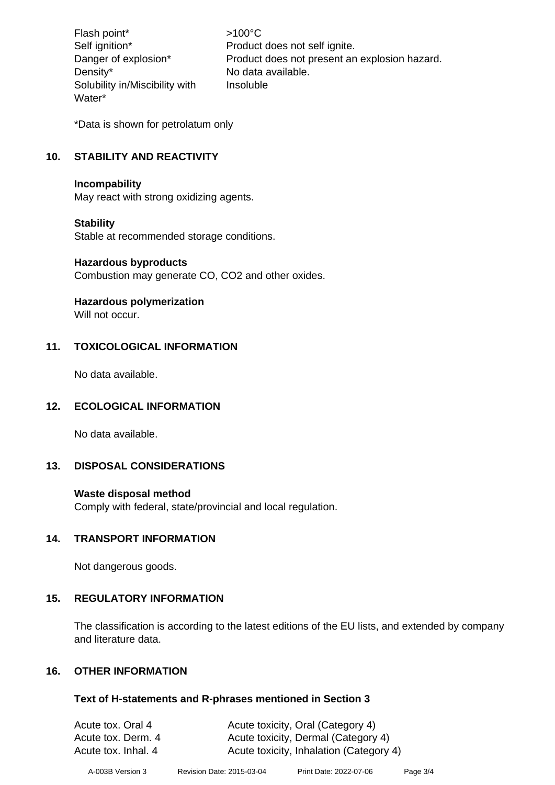Flash point\* >100°C Density\* No data available. Solubility in/Miscibility with Water\*

Self ignition\* Product does not self ignite. Danger of explosion\* Product does not present an explosion hazard. Insoluble

\*Data is shown for petrolatum only

# **10. STABILITY AND REACTIVITY**

#### **Incompability**

May react with strong oxidizing agents.

#### **Stability**

Stable at recommended storage conditions.

#### **Hazardous byproducts**

Combustion may generate CO, CO2 and other oxides.

#### **Hazardous polymerization**

Will not occur.

#### **11. TOXICOLOGICAL INFORMATION**

No data available.

#### **12. ECOLOGICAL INFORMATION**

No data available.

#### **13. DISPOSAL CONSIDERATIONS**

#### **Waste disposal method**

Comply with federal, state/provincial and local regulation.

#### **14. TRANSPORT INFORMATION**

Not dangerous goods.

#### **15. REGULATORY INFORMATION**

The classification is according to the latest editions of the EU lists, and extended by company and literature data.

#### **16. OTHER INFORMATION**

#### **Text of H-statements and R-phrases mentioned in Section 3**

| Acute tox. Oral 4   | Acute toxicity, Oral (Category 4)       |
|---------------------|-----------------------------------------|
| Acute tox. Derm. 4  | Acute toxicity, Dermal (Category 4)     |
| Acute tox. Inhal. 4 | Acute toxicity, Inhalation (Category 4) |